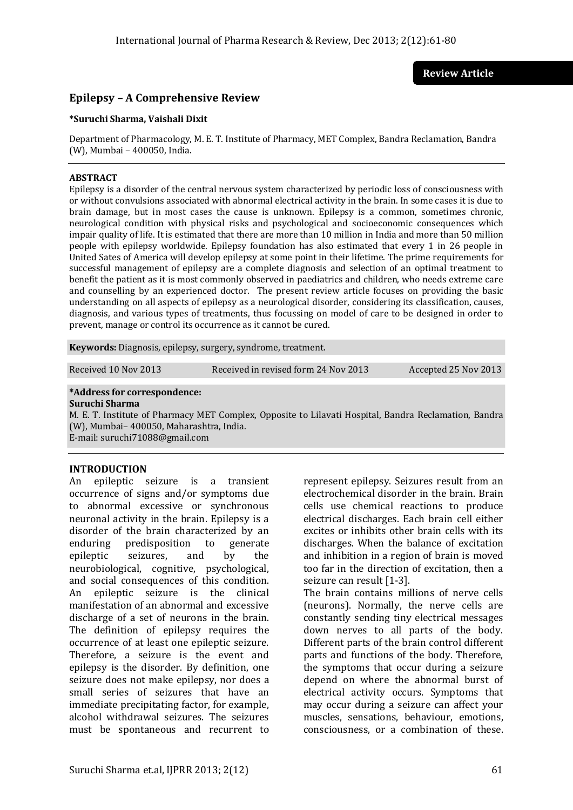**Review Article**

# **Epilepsy – A Comprehensive Review**

#### **\*Suruchi Sharma, Vaishali Dixit**

Department of Pharmacology, M. E. T. Institute of Pharmacy, MET Complex, Bandra Reclamation, Bandra (W), Mumbai – 400050, India.

### **ABSTRACT**

Epilepsy is a disorder of the central nervous system characterized by periodic loss of consciousness with or without convulsions associated with abnormal electrical activity in the brain. In some cases it is due to brain damage, but in most cases the cause is unknown. Epilepsy is a common, sometimes chronic, neurological condition with physical risks and psychological and socioeconomic consequences which impair quality of life. It is estimated that there are more than 10 million in India and more than 50 million people with epilepsy worldwide. Epilepsy foundation has also estimated that every 1 in 26 people in United Sates of America will develop epilepsy at some point in their lifetime. The prime requirements for successful management of epilepsy are a complete diagnosis and selection of an optimal treatment to benefit the patient as it is most commonly observed in paediatrics and children, who needs extreme care and counselling by an experienced doctor. The present review article focuses on providing the basic understanding on all aspects of epilepsy as a neurological disorder, considering its classification, causes, diagnosis, and various types of treatments, thus focussing on model of care to be designed in order to prevent, manage or control its occurrence as it cannot be cured.

**Keywords:** Diagnosis, epilepsy, surgery, syndrome, treatment.

Received 10 Nov 2013 Received in revised form 24 Nov 2013 Accepted 25 Nov 2013

## **\*Address for correspondence:**

#### **Suruchi Sharma**

M. E. T. Institute of Pharmacy MET Complex, Opposite to Lilavati Hospital, Bandra Reclamation, Bandra (W), Mumbai– 400050, Maharashtra, India. E-mail: suruchi71088@gmail.com

## **INTRODUCTION**

An epileptic seizure is a transient occurrence of signs and/or symptoms due to abnormal excessive or synchronous neuronal activity in the brain. Epilepsy is a disorder of the brain characterized by an enduring predisposition to generate epileptic seizures, and by the neurobiological, cognitive, psychological, and social consequences of this condition. An epileptic seizure is the clinical manifestation of an abnormal and excessive discharge of a set of neurons in the brain. The definition of epilepsy requires the occurrence of at least one epileptic seizure. Therefore, a seizure is the event and epilepsy is the disorder. By definition, one seizure does not make epilepsy, nor does a small series of seizures that have an immediate precipitating factor, for example, alcohol withdrawal seizures. The seizures must be spontaneous and recurrent to represent epilepsy. Seizures result from an electrochemical disorder in the brain. Brain cells use chemical reactions to produce electrical discharges. Each brain cell either excites or inhibits other brain cells with its discharges. When the balance of excitation and inhibition in a region of brain is moved too far in the direction of excitation, then a seizure can result [1-3].

The brain contains millions of nerve cells (neurons). Normally, the nerve cells are constantly sending tiny electrical messages down nerves to all parts of the body. Different parts of the brain control different parts and functions of the body. Therefore, the symptoms that occur during a seizure depend on where the abnormal burst of electrical activity occurs. Symptoms that may occur during a seizure can affect your muscles, sensations, behaviour, emotions, consciousness, or a combination of these.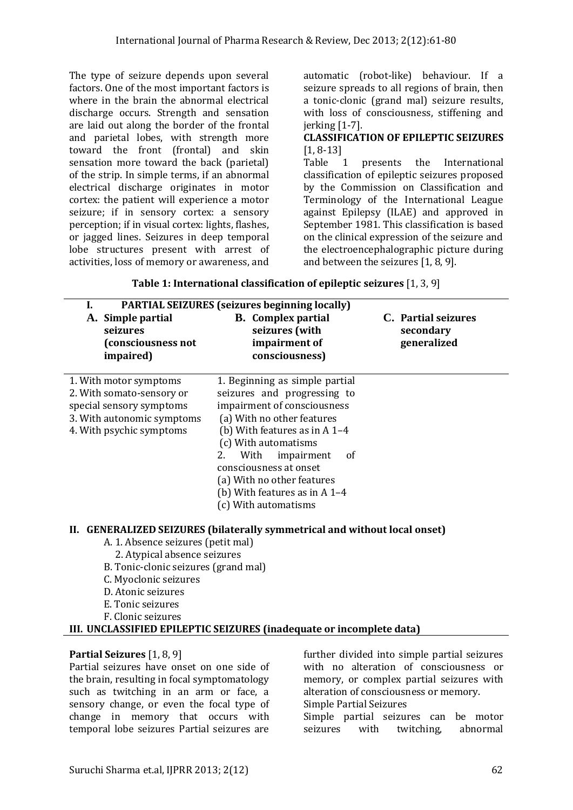The type of seizure depends upon several factors. One of the most important factors is where in the brain the abnormal electrical discharge occurs. Strength and sensation are laid out along the border of the frontal and parietal lobes, with strength more toward the front (frontal) and skin sensation more toward the back (parietal) of the strip. In simple terms, if an abnormal electrical discharge originates in motor cortex: the patient will experience a motor seizure; if in sensory cortex: a sensory perception; if in visual cortex: lights, flashes, or jagged lines. Seizures in deep temporal lobe structures present with arrest of activities, loss of memory or awareness, and automatic (robot-like) behaviour. If a seizure spreads to all regions of brain, then a tonic-clonic (grand mal) seizure results, with loss of consciousness, stiffening and jerking [1-7].

## **CLASSIFICATION OF EPILEPTIC SEIZURES** [1, 8-13]

Table 1 presents the International classification of epileptic seizures proposed by the Commission on Classification and Terminology of the International League against Epilepsy (ILAE) and approved in September 1981. This classification is based on the clinical expression of the seizure and the electroencephalographic picture during and between the seizures [1, 8, 9].

| A. Simple partial<br>seizures<br>(consciousness not<br>impaired)                                                                          | <b>PARTIAL SEIZURES</b> (seizures beginning locally)<br><b>B.</b> Complex partial<br>seizures (with<br>impairment of<br>consciousness)                                                                                                                                                                                                     | C. Partial seizures<br>secondary<br>generalized |
|-------------------------------------------------------------------------------------------------------------------------------------------|--------------------------------------------------------------------------------------------------------------------------------------------------------------------------------------------------------------------------------------------------------------------------------------------------------------------------------------------|-------------------------------------------------|
| 1. With motor symptoms<br>2. With somato-sensory or<br>special sensory symptoms<br>3. With autonomic symptoms<br>4. With psychic symptoms | 1. Beginning as simple partial<br>seizures and progressing to<br>impairment of consciousness<br>(a) With no other features<br>(b) With features as in $A$ 1-4<br>(c) With automatisms<br>2.<br>With<br>impairment<br>0f<br>consciousness at onset<br>(a) With no other features<br>(b) With features as in $A$ 1-4<br>(c) With automatisms |                                                 |

**Table 1: International classification of epileptic seizures** [1, 3, 9]

# **II. GENERALIZED SEIZURES (bilaterally symmetrical and without local onset)**

- A. 1. Absence seizures (petit mal)
	- 2. Atypical absence seizures
- B. Tonic-clonic seizures (grand mal)
- C. Myoclonic seizures
- D. Atonic seizures
- E. Tonic seizures
- F. Clonic seizures

# **III. UNCLASSIFIED EPILEPTIC SEIZURES (inadequate or incomplete data)**

# **Partial Seizures** [1, 8, 9]

Partial seizures have onset on one side of the brain, resulting in focal symptomatology such as twitching in an arm or face, a sensory change, or even the focal type of change in memory that occurs with temporal lobe seizures Partial seizures are

further divided into simple partial seizures with no alteration of consciousness or memory, or complex partial seizures with alteration of consciousness or memory. Simple Partial Seizures

Simple partial seizures can be motor seizures with twitching, abnormal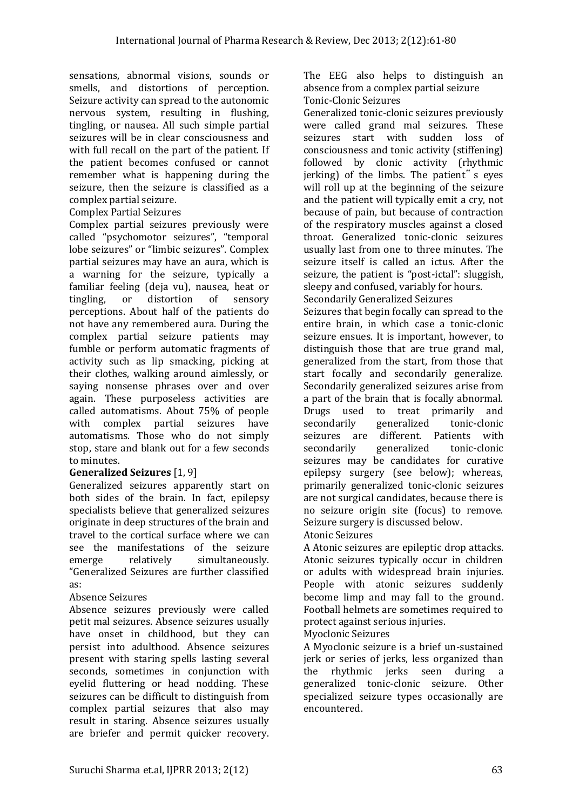sensations, abnormal visions, sounds or smells, and distortions of perception. Seizure activity can spread to the autonomic nervous system, resulting in flushing, tingling, or nausea. All such simple partial seizures will be in clear consciousness and with full recall on the part of the patient. If the patient becomes confused or cannot remember what is happening during the seizure, then the seizure is classified as a complex partial seizure.

#### Complex Partial Seizures

Complex partial seizures previously were called "psychomotor seizures", "temporal lobe seizures" or "limbic seizures". Complex partial seizures may have an aura, which is a warning for the seizure, typically a familiar feeling (deja vu), nausea, heat or tingling, or distortion of sensory perceptions. About half of the patients do not have any remembered aura. During the complex partial seizure patients may fumble or perform automatic fragments of activity such as lip smacking, picking at their clothes, walking around aimlessly, or saying nonsense phrases over and over again. These purposeless activities are called automatisms. About 75% of people with complex partial seizures have automatisms. Those who do not simply stop, stare and blank out for a few seconds to minutes.

## **Generalized Seizures** [1, 9]

Generalized seizures apparently start on both sides of the brain. In fact, epilepsy specialists believe that generalized seizures originate in deep structures of the brain and travel to the cortical surface where we can see the manifestations of the seizure emerge relatively simultaneously. "Generalized Seizures are further classified as:

## Absence Seizures

Absence seizures previously were called petit mal seizures. Absence seizures usually have onset in childhood, but they can persist into adulthood. Absence seizures present with staring spells lasting several seconds, sometimes in conjunction with eyelid fluttering or head nodding. These seizures can be difficult to distinguish from complex partial seizures that also may result in staring. Absence seizures usually are briefer and permit quicker recovery.

The EEG also helps to distinguish an absence from a complex partial seizure Tonic-Clonic Seizures

Generalized tonic-clonic seizures previously were called grand mal seizures. These seizures start with sudden loss of consciousness and tonic activity (stiffening) followed by clonic activity (rhythmic jerking) of the limbs. The patient" s eyes will roll up at the beginning of the seizure and the patient will typically emit a cry, not because of pain, but because of contraction of the respiratory muscles against a closed throat. Generalized tonic-clonic seizures usually last from one to three minutes. The seizure itself is called an ictus. After the seizure, the patient is "post-ictal": sluggish, sleepy and confused, variably for hours. Secondarily Generalized Seizures

Seizures that begin focally can spread to the entire brain, in which case a tonic-clonic seizure ensues. It is important, however, to distinguish those that are true grand mal, generalized from the start, from those that start focally and secondarily generalize. Secondarily generalized seizures arise from a part of the brain that is focally abnormal. Drugs used to treat primarily and secondarily generalized tonic-clonic seizures are different. Patients with secondarily generalized tonic-clonic seizures may be candidates for curative epilepsy surgery (see below); whereas, primarily generalized tonic-clonic seizures are not surgical candidates, because there is no seizure origin site (focus) to remove. Seizure surgery is discussed below.

## Atonic Seizures

A Atonic seizures are epileptic drop attacks. Atonic seizures typically occur in children or adults with widespread brain injuries. People with atonic seizures suddenly become limp and may fall to the ground. Football helmets are sometimes required to protect against serious injuries.

## Myoclonic Seizures

A Myoclonic seizure is a brief un-sustained jerk or series of jerks, less organized than the rhythmic jerks seen during a generalized tonic-clonic seizure. Other specialized seizure types occasionally are encountered.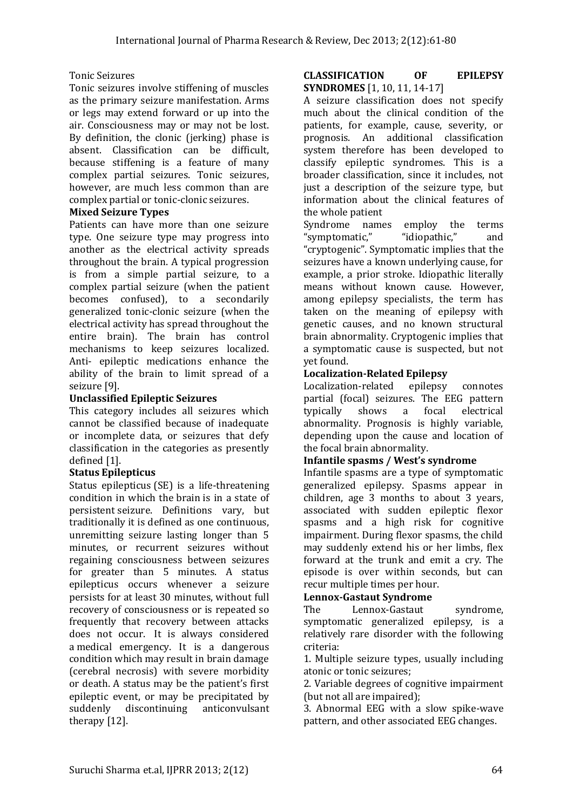## Tonic Seizures

Tonic seizures involve stiffening of muscles as the primary seizure manifestation. Arms or legs may extend forward or up into the air. Consciousness may or may not be lost. By definition, the clonic (jerking) phase is absent. Classification can be difficult, because stiffening is a feature of many complex partial seizures. Tonic seizures, however, are much less common than are complex partial or tonic-clonic seizures.

## **Mixed Seizure Types**

Patients can have more than one seizure type. One seizure type may progress into another as the electrical activity spreads throughout the brain. A typical progression is from a simple partial seizure, to a complex partial seizure (when the patient becomes confused), to a secondarily generalized tonic-clonic seizure (when the electrical activity has spread throughout the entire brain). The brain has control mechanisms to keep seizures localized. Anti- epileptic medications enhance the ability of the brain to limit spread of a seizure [9].

## **Unclassified Epileptic Seizures**

This category includes all seizures which cannot be classified because of inadequate or incomplete data, or seizures that defy classification in the categories as presently defined [1].

## **Status Epilepticus**

Status epilepticus (SE) is a life-threatening condition in which the [brain](http://en.wikipedia.org/wiki/Brain) is in a state of persistent [seizure.](http://en.wikipedia.org/wiki/Seizure) Definitions vary, but traditionally it is defined as one continuous, unremitting seizure lasting longer than 5 minutes, or recurrent seizures without regaining consciousness between seizures for greater than 5 minutes. A status epilepticus occurs whenever a seizure persists for at least 30 minutes, without full recovery of consciousness or is repeated so frequently that recovery between attacks does not occur. It is always considered a [medical emergency.](http://en.wikipedia.org/wiki/Medical_emergency) It is a dangerous condition which may result in brain damage (cerebral necrosis) with severe morbidity or death. A status may be the patient's first epileptic event, or may be precipitated by suddenly discontinuing anticonvulsant therapy [12].

### **CLASSIFICATION OF EPILEPSY SYNDROMES** [1, 10, 11, 14-17]

A seizure classification does not specify much about the clinical condition of the patients, for example, cause, severity, or prognosis. An additional classification system therefore has been developed to classify epileptic syndromes. This is a broader classification, since it includes, not just a description of the seizure type, but information about the clinical features of the whole patient

Syndrome names employ the terms "symptomatic," "idiopathic," and "cryptogenic". Symptomatic implies that the seizures have a known underlying cause, for example, a prior stroke. Idiopathic literally means without known cause. However, among epilepsy specialists, the term has taken on the meaning of epilepsy with genetic causes, and no known structural brain abnormality. Cryptogenic implies that a symptomatic cause is suspected, but not yet found.

# **Localization-Related Epilepsy**

Localization-related epilepsy connotes partial (focal) seizures. The EEG pattern typically shows a focal electrical abnormality. Prognosis is highly variable, depending upon the cause and location of the focal brain abnormality.

## **Infantile spasms / West's syndrome**

Infantile spasms are a type of symptomatic generalized epilepsy. Spasms appear in children, age 3 months to about 3 years, associated with sudden epileptic flexor spasms and a high risk for cognitive impairment. During flexor spasms, the child may suddenly extend his or her limbs, flex forward at the trunk and emit a cry. The episode is over within seconds, but can recur multiple times per hour.

# **Lennox-Gastaut Syndrome**

The Lennox-Gastaut syndrome, symptomatic generalized epilepsy, is a relatively rare disorder with the following criteria:

1. Multiple seizure types, usually including atonic or tonic seizures;

2. Variable degrees of cognitive impairment (but not all are impaired);

3. Abnormal EEG with a slow spike-wave pattern, and other associated EEG changes.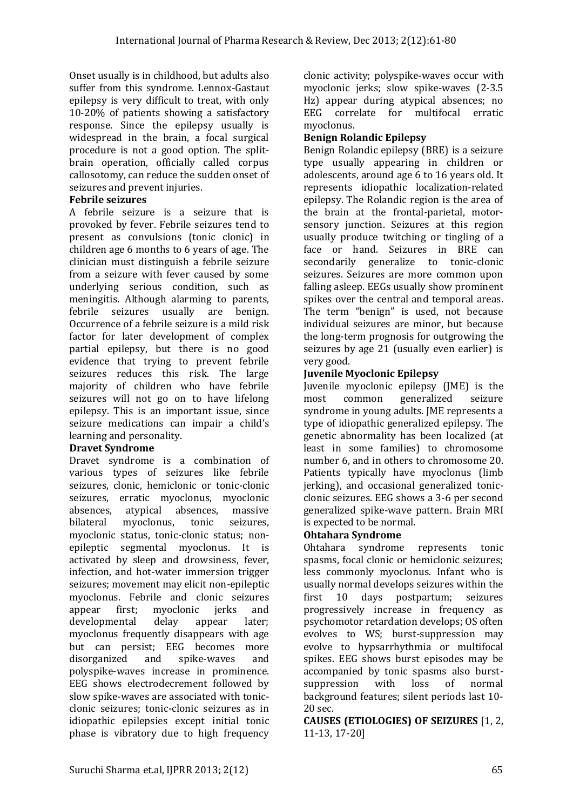Onset usually is in childhood, but adults also suffer from this syndrome. Lennox-Gastaut epilepsy is very difficult to treat, with only 10-20% of patients showing a satisfactory response. Since the epilepsy usually is widespread in the brain, a focal surgical procedure is not a good option. The splitbrain operation, officially called corpus callosotomy, can reduce the sudden onset of seizures and prevent injuries.

## **Febrile seizures**

A febrile seizure is a seizure that is provoked by fever. Febrile seizures tend to present as convulsions (tonic clonic) in children age 6 months to 6 years of age. The clinician must distinguish a febrile seizure from a seizure with fever caused by some underlying serious condition, such as meningitis. Although alarming to parents, febrile seizures usually are benign. Occurrence of a febrile seizure is a mild risk factor for later development of complex partial epilepsy, but there is no good evidence that trying to prevent febrile seizures reduces this risk. The large majority of children who have febrile seizures will not go on to have lifelong epilepsy. This is an important issue, since seizure medications can impair a child's learning and personality.

# **Dravet Syndrome**

Dravet syndrome is a combination of various types of seizures like febrile seizures, clonic, hemiclonic or tonic-clonic seizures, erratic myoclonus, myoclonic absences, atypical absences, massive bilateral myoclonus, tonic seizures, myoclonic status, tonic-clonic status; nonepileptic segmental myoclonus. It is activated by sleep and drowsiness, fever, infection, and hot-water immersion trigger seizures; movement may elicit non-epileptic myoclonus. Febrile and clonic seizures appear first; myoclonic jerks and developmental delay appear later; myoclonus frequently disappears with age but can persist; EEG becomes more disorganized and spike-waves and polyspike-waves increase in prominence. EEG shows electrodecrement followed by slow spike-waves are associated with tonicclonic seizures; tonic-clonic seizures as in idiopathic epilepsies except initial tonic phase is vibratory due to high frequency

clonic activity; polyspike-waves occur with myoclonic jerks; slow spike-waves (2-3.5 Hz) appear during atypical absences; no EEG correlate for multifocal erratic myoclonus.

# **Benign Rolandic Epilepsy**

Benign Rolandic epilepsy (BRE) is a seizure type usually appearing in children or adolescents, around age 6 to 16 years old. It represents idiopathic localization-related epilepsy. The Rolandic region is the area of the brain at the frontal-parietal, motorsensory junction. Seizures at this region usually produce twitching or tingling of a face or hand. Seizures in BRE can secondarily generalize to tonic-clonic seizures. Seizures are more common upon falling asleep. EEGs usually show prominent spikes over the central and temporal areas. The term "benign" is used, not because individual seizures are minor, but because the long-term prognosis for outgrowing the seizures by age 21 (usually even earlier) is very good.

# **Juvenile Myoclonic Epilepsy**

Juvenile myoclonic epilepsy (JME) is the most common generalized seizure syndrome in young adults. JME represents a type of idiopathic generalized epilepsy. The genetic abnormality has been localized (at least in some families) to chromosome number 6, and in others to chromosome 20. Patients typically have myoclonus (limb jerking), and occasional generalized tonicclonic seizures. EEG shows a 3-6 per second generalized spike-wave pattern. Brain MRI is expected to be normal.

# **Ohtahara Syndrome**

Ohtahara syndrome represents tonic spasms, focal clonic or hemiclonic seizures; less commonly myoclonus. Infant who is usually normal develops seizures within the first 10 days postpartum; seizures progressively increase in frequency as psychomotor retardation develops; OS often evolves to WS; burst-suppression may evolve to hypsarrhythmia or multifocal spikes. EEG shows burst episodes may be accompanied by tonic spasms also burstsuppression with loss of normal background features; silent periods last 10- 20 sec.

**CAUSES (ETIOLOGIES) OF SEIZURES** [1, 2, 11-13, 17-20]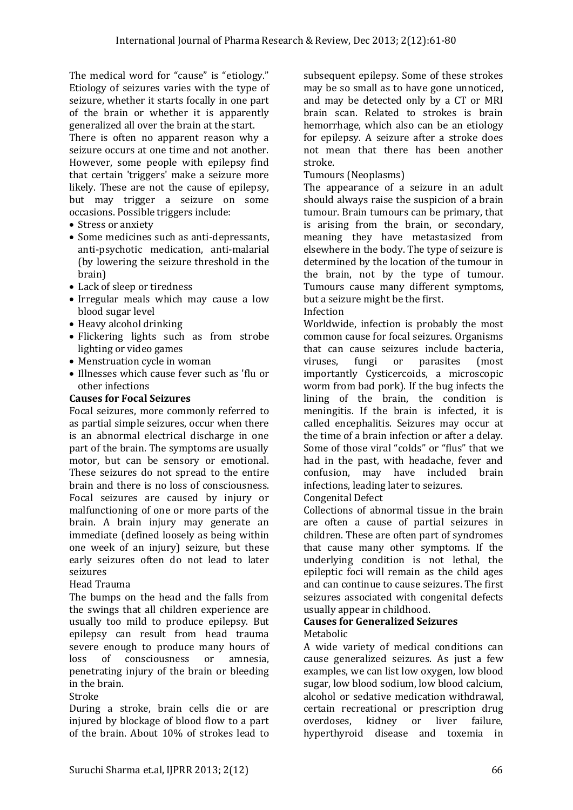The medical word for "cause" is "etiology." Etiology of seizures varies with the type of seizure, whether it starts focally in one part of the brain or whether it is apparently generalized all over the brain at the start. There is often no apparent reason why a

seizure occurs at one time and not another. However, some people with epilepsy find that certain 'triggers' make a seizure more likely. These are not the cause of epilepsy, but may trigger a seizure on some occasions. Possible triggers include:

- Stress or anxiety
- Some medicines such as anti-depressants, anti-psychotic medication, anti-malarial (by lowering the seizure threshold in the brain)
- Lack of sleep or tiredness
- Irregular meals which may cause a low blood sugar level
- Heavy alcohol drinking
- Flickering lights such as from strobe lighting or video games
- Menstruation cycle in woman
- Illnesses which cause fever such as 'flu or other infections

## **Causes for Focal Seizures**

Focal seizures, more commonly referred to as partial simple seizures, occur when there is an abnormal electrical discharge in one part of the brain. The symptoms are usually motor, but can be sensory or emotional. These seizures do not spread to the entire brain and there is no loss of consciousness. Focal seizures are caused by injury or malfunctioning of one or more parts of the brain. A brain injury may generate an immediate (defined loosely as being within one week of an injury) seizure, but these early seizures often do not lead to later seizures

## Head Trauma

The bumps on the head and the falls from the swings that all children experience are usually too mild to produce epilepsy. But epilepsy can result from head trauma severe enough to produce many hours of loss of consciousness or amnesia, penetrating injury of the brain or bleeding in the brain.

Stroke

During a stroke, brain cells die or are injured by blockage of blood flow to a part of the brain. About 10% of strokes lead to subsequent epilepsy. Some of these strokes may be so small as to have gone unnoticed, and may be detected only by a CT or MRI brain scan. Related to strokes is brain hemorrhage, which also can be an etiology for epilepsy. A seizure after a stroke does not mean that there has been another stroke.

Tumours (Neoplasms)

The appearance of a seizure in an adult should always raise the suspicion of a brain tumour. Brain tumours can be primary, that is arising from the brain, or secondary, meaning they have metastasized from elsewhere in the body. The type of seizure is determined by the location of the tumour in the brain, not by the type of tumour. Tumours cause many different symptoms, but a seizure might be the first.

#### Infection

Worldwide, infection is probably the most common cause for focal seizures. Organisms that can cause seizures include bacteria, viruses, fungi or parasites (most importantly Cysticercoids, a microscopic worm from bad pork). If the bug infects the lining of the brain, the condition is meningitis. If the brain is infected, it is called encephalitis. Seizures may occur at the time of a brain infection or after a delay. Some of those viral "colds" or "flus" that we had in the past, with headache, fever and confusion, may have included brain infections, leading later to seizures.

Congenital Defect

Collections of abnormal tissue in the brain are often a cause of partial seizures in children. These are often part of syndromes that cause many other symptoms. If the underlying condition is not lethal, the epileptic foci will remain as the child ages and can continue to cause seizures. The first seizures associated with congenital defects usually appear in childhood.

#### **Causes for Generalized Seizures** Metabolic

A wide variety of medical conditions can cause generalized seizures. As just a few examples, we can list low oxygen, low blood sugar, low blood sodium, low blood calcium, alcohol or sedative medication withdrawal, certain recreational or prescription drug overdoses, kidney or liver failure, hyperthyroid disease and toxemia in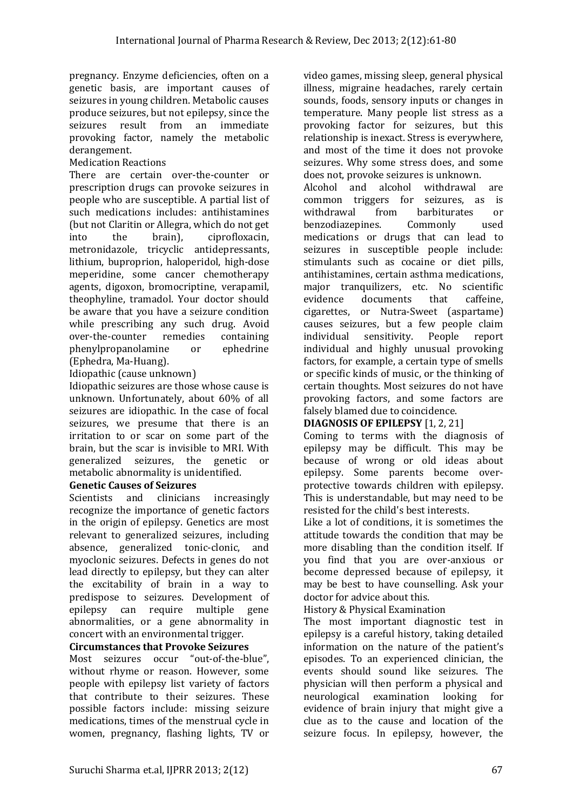pregnancy. Enzyme deficiencies, often on a genetic basis, are important causes of seizures in young children. Metabolic causes produce seizures, but not epilepsy, since the seizures result from an immediate provoking factor, namely the metabolic derangement.

## Medication Reactions

There are certain over-the-counter or prescription drugs can provoke seizures in people who are susceptible. A partial list of such medications includes: antihistamines (but not Claritin or Allegra, which do not get into the brain), ciprofloxacin, metronidazole, tricyclic antidepressants, lithium, buproprion, haloperidol, high-dose meperidine, some cancer chemotherapy agents, digoxon, bromocriptine, verapamil, theophyline, tramadol. Your doctor should be aware that you have a seizure condition while prescribing any such drug. Avoid over-the-counter remedies containing phenylpropanolamine or ephedrine (Ephedra, Ma-Huang).

Idiopathic (cause unknown)

Idiopathic seizures are those whose cause is unknown. Unfortunately, about 60% of all seizures are idiopathic. In the case of focal seizures, we presume that there is an irritation to or scar on some part of the brain, but the scar is invisible to MRI. With generalized seizures, the genetic or metabolic abnormality is unidentified.

## **Genetic Causes of Seizures**

Scientists and clinicians increasingly recognize the importance of genetic factors in the origin of epilepsy. Genetics are most relevant to generalized seizures, including absence, generalized tonic-clonic, and myoclonic seizures. Defects in genes do not lead directly to epilepsy, but they can alter the excitability of brain in a way to predispose to seizures. Development of epilepsy can require multiple gene abnormalities, or a gene abnormality in concert with an environmental trigger.

**Circumstances that Provoke Seizures**

Most seizures occur "out-of-the-blue", without rhyme or reason. However, some people with epilepsy list variety of factors that contribute to their seizures. These possible factors include: missing seizure medications, times of the menstrual cycle in women, pregnancy, flashing lights, TV or video games, missing sleep, general physical illness, migraine headaches, rarely certain sounds, foods, sensory inputs or changes in temperature. Many people list stress as a provoking factor for seizures, but this relationship is inexact. Stress is everywhere, and most of the time it does not provoke seizures. Why some stress does, and some does not, provoke seizures is unknown.

Alcohol and alcohol withdrawal are common triggers for seizures, as is withdrawal from barbiturates or benzodiazepines. Commonly used medications or drugs that can lead to seizures in susceptible people include: stimulants such as cocaine or diet pills, antihistamines, certain asthma medications, major tranquilizers, etc. No scientific evidence documents that caffeine, cigarettes, or Nutra-Sweet (aspartame) causes seizures, but a few people claim individual sensitivity. People report individual and highly unusual provoking factors, for example, a certain type of smells or specific kinds of music, or the thinking of certain thoughts. Most seizures do not have provoking factors, and some factors are falsely blamed due to coincidence.

# **DIAGNOSIS OF EPILEPSY** [1, 2, 21]

Coming to terms with the diagnosis of epilepsy may be difficult. This may be because of wrong or old ideas about epilepsy. Some parents become overprotective towards children with epilepsy. This is understandable, but may need to be resisted for the child's best interests.

Like a lot of conditions, it is sometimes the attitude towards the condition that may be more disabling than the condition itself. If you find that you are over-anxious or become depressed because of epilepsy, it may be best to have counselling. Ask your doctor for advice about this.

History & Physical Examination

The most important diagnostic test in epilepsy is a careful history, taking detailed information on the nature of the patient's episodes. To an experienced clinician, the events should sound like seizures. The physician will then perform a physical and neurological examination looking for evidence of brain injury that might give a clue as to the cause and location of the seizure focus. In epilepsy, however, the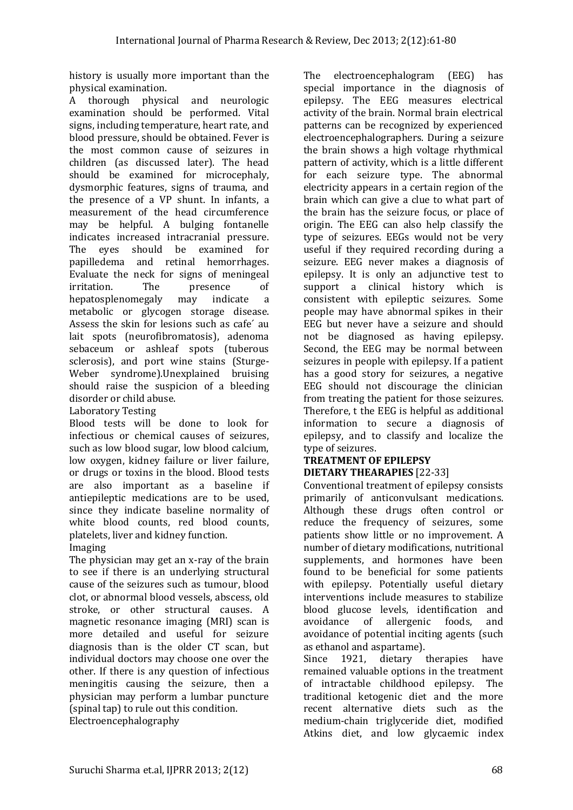history is usually more important than the physical examination.

A thorough physical and neurologic examination should be performed. Vital signs, including temperature, heart rate, and blood pressure, should be obtained. Fever is the most common cause of seizures in children (as discussed later). The head should be examined for microcephaly, dysmorphic features, signs of trauma, and the presence of a VP shunt. In infants, a measurement of the head circumference may be helpful. A bulging fontanelle indicates increased intracranial pressure. The eyes should be examined for papilledema and retinal hemorrhages. Evaluate the neck for signs of meningeal irritation. The presence of hepatosplenomegaly may indicate a metabolic or glycogen storage disease. Assess the skin for lesions such as cafe´ au lait spots (neurofibromatosis), adenoma sebaceum or ashleaf spots (tuberous sclerosis), and port wine stains (Sturge-Weber syndrome).Unexplained bruising should raise the suspicion of a bleeding disorder or child abuse.

# Laboratory Testing

Blood tests will be done to look for infectious or chemical causes of seizures, such as low blood sugar, low blood calcium, low oxygen, kidney failure or liver failure, or drugs or toxins in the blood. Blood tests are also important as a baseline if antiepileptic medications are to be used, since they indicate baseline normality of white blood counts, red blood counts, platelets, liver and kidney function.

Imaging

The physician may get an x-ray of the brain to see if there is an underlying structural cause of the seizures such as tumour, blood clot, or abnormal blood vessels, abscess, old stroke, or other structural causes. A magnetic resonance imaging (MRI) scan is more detailed and useful for seizure diagnosis than is the older CT scan, but individual doctors may choose one over the other. If there is any question of infectious meningitis causing the seizure, then a physician may perform a lumbar puncture (spinal tap) to rule out this condition. Electroencephalography

The electroencephalogram (EEG) has special importance in the diagnosis of epilepsy. The EEG measures electrical activity of the brain. Normal brain electrical patterns can be recognized by experienced electroencephalographers. During a seizure the brain shows a high voltage rhythmical pattern of activity, which is a little different for each seizure type. The abnormal electricity appears in a certain region of the brain which can give a clue to what part of the brain has the seizure focus, or place of origin. The EEG can also help classify the type of seizures. EEGs would not be very useful if they required recording during a seizure. EEG never makes a diagnosis of epilepsy. It is only an adjunctive test to support a clinical history which is consistent with epileptic seizures. Some people may have abnormal spikes in their EEG but never have a seizure and should not be diagnosed as having epilepsy. Second, the EEG may be normal between seizures in people with epilepsy. If a patient has a good story for seizures, a negative EEG should not discourage the clinician from treating the patient for those seizures. Therefore, t the EEG is helpful as additional information to secure a diagnosis of epilepsy, and to classify and localize the type of seizures.

## **TREATMENT OF EPILEPSY DIETARY THEARAPIES** [22-33]

Conventional treatment of epilepsy consists primarily of anticonvulsant medications. Although these drugs often control or reduce the frequency of seizures, some patients show little or no improvement. A number of dietary modifications, nutritional supplements, and hormones have been found to be beneficial for some patients with epilepsy. Potentially useful dietary interventions include measures to stabilize blood glucose levels, identification and avoidance of allergenic foods, and avoidance of potential inciting agents (such as ethanol and aspartame).

Since 1921, dietary therapies have remained valuable options in the treatment of intractable childhood epilepsy. The traditional ketogenic diet and the more recent alternative diets such as the medium-chain triglyceride diet, modified Atkins diet, and low glycaemic index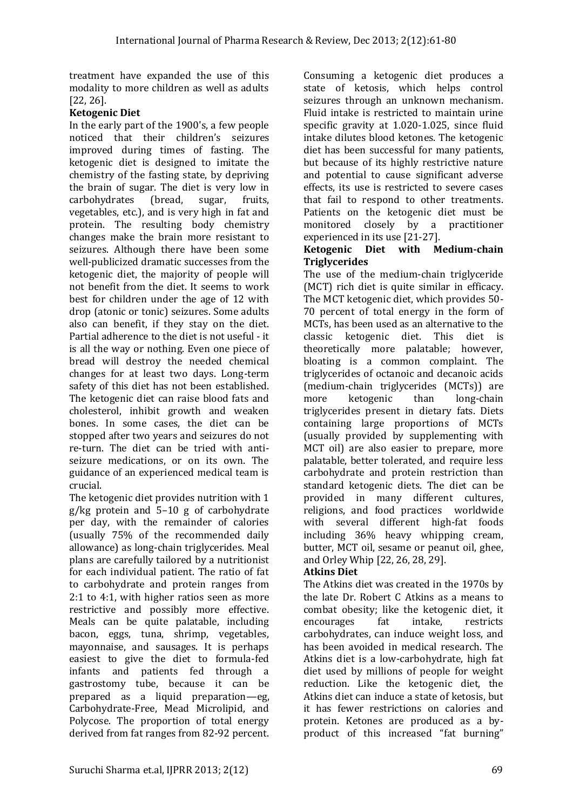treatment have expanded the use of this modality to more children as well as adults [22, 26].

## **Ketogenic Diet**

In the early part of the 1900's, a few people noticed that their children's seizures improved during times of fasting. The ketogenic diet is designed to imitate the chemistry of the fasting state, by depriving the brain of sugar. The diet is very low in carbohydrates (bread, sugar, fruits, vegetables, etc.), and is very high in fat and protein. The resulting body chemistry changes make the brain more resistant to seizures. Although there have been some well-publicized dramatic successes from the ketogenic diet, the majority of people will not benefit from the diet. It seems to work best for children under the age of 12 with drop (atonic or tonic) seizures. Some adults also can benefit, if they stay on the diet. Partial adherence to the diet is not useful - it is all the way or nothing. Even one piece of bread will destroy the needed chemical changes for at least two days. Long-term safety of this diet has not been established. The ketogenic diet can raise blood fats and cholesterol, inhibit growth and weaken bones. In some cases, the diet can be stopped after two years and seizures do not re-turn. The diet can be tried with antiseizure medications, or on its own. The guidance of an experienced medical team is crucial.

The ketogenic diet provides nutrition with 1 g/kg protein and 5–10 g of carbohydrate per day, with the remainder of calories (usually 75% of the recommended daily allowance) as long-chain triglycerides. Meal plans are carefully tailored by a nutritionist for each individual patient. The ratio of fat to carbohydrate and protein ranges from 2:1 to 4:1, with higher ratios seen as more restrictive and possibly more effective. Meals can be quite palatable, including bacon, eggs, tuna, shrimp, vegetables, mayonnaise, and sausages. It is perhaps easiest to give the diet to formula-fed infants and patients fed through a gastrostomy tube, because it can be prepared as a liquid preparation—eg, Carbohydrate-Free, Mead Microlipid, and Polycose. The proportion of total energy derived from fat ranges from 82-92 percent. Consuming a ketogenic diet produces a state of ketosis, which helps control seizures through an unknown mechanism. Fluid intake is restricted to maintain urine specific gravity at 1.020-1.025, since fluid intake dilutes blood ketones. The ketogenic diet has been successful for many patients, but because of its highly restrictive nature and potential to cause significant adverse effects, its use is restricted to severe cases that fail to respond to other treatments. Patients on the ketogenic diet must be monitored closely by a practitioner experienced in its use [21-27].

### **Ketogenic Diet with Medium-chain Triglycerides**

The use of the medium-chain triglyceride (MCT) rich diet is quite similar in efficacy. The MCT ketogenic diet, which provides 50- 70 percent of total energy in the form of MCTs, has been used as an alternative to the classic ketogenic diet. This diet is theoretically more palatable; however, bloating is a common complaint. The triglycerides of octanoic and decanoic acids (medium-chain triglycerides (MCTs)) are more ketogenic than long-chain triglycerides present in dietary fats. Diets containing large proportions of MCTs (usually provided by supplementing with MCT oil) are also easier to prepare, more palatable, better tolerated, and require less carbohydrate and protein restriction than standard ketogenic diets. The diet can be provided in many different cultures, religions, and food practices worldwide with several different high-fat foods including 36% heavy whipping cream, butter, MCT oil, sesame or peanut oil, ghee, and Orley Whip [22, 26, 28, 29].

# **Atkins Diet**

The Atkins diet was created in the 1970s by the late Dr. Robert C Atkins as a means to combat obesity; like the ketogenic diet, it encourages fat intake, restricts carbohydrates, can induce weight loss, and has been avoided in medical research. The Atkins diet is a low-carbohydrate, high fat diet used by millions of people for weight reduction. Like the ketogenic diet, the Atkins diet can induce a state of ketosis, but it has fewer restrictions on calories and protein. Ketones are produced as a byproduct of this increased "fat burning"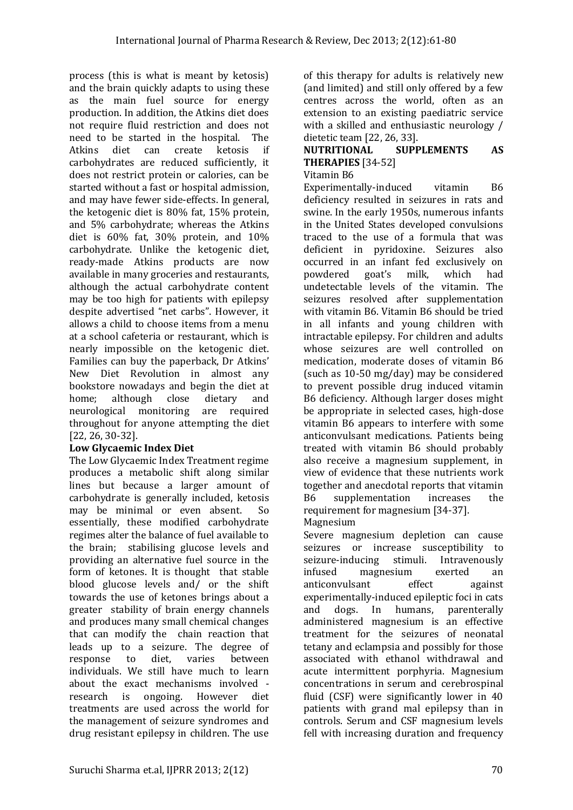process (this is what is meant by ketosis) and the brain quickly adapts to using these as the main fuel source for energy production. In addition, the Atkins diet does not require fluid restriction and does not need to be started in the hospital. The Atkins diet can create ketosis if carbohydrates are reduced sufficiently, it does not restrict protein or calories, can be started without a fast or hospital admission, and may have fewer side-effects. In general, the ketogenic diet is 80% fat, 15% protein, and 5% carbohydrate; whereas the Atkins diet is 60% fat, 30% protein, and 10% carbohydrate. Unlike the ketogenic diet, ready-made Atkins products are now available in many groceries and restaurants, although the actual carbohydrate content may be too high for patients with epilepsy despite advertised "net carbs". However, it allows a child to choose items from a menu at a school cafeteria or restaurant, which is nearly impossible on the ketogenic diet. Families can buy the paperback, Dr Atkins' New Diet Revolution in almost any bookstore nowadays and begin the diet at home; although close dietary and neurological monitoring are required throughout for anyone attempting the diet [22, 26, 30-32].

# **Low Glycaemic Index Diet**

The Low Glycaemic Index Treatment regime produces a metabolic shift along similar lines but because a larger amount of carbohydrate is generally included, ketosis may be minimal or even absent. So essentially, these modified carbohydrate regimes alter the balance of fuel available to the brain; stabilising glucose levels and providing an alternative fuel source in the form of ketones. It is thought that stable blood glucose levels and/ or the shift towards the use of ketones brings about a greater stability of brain energy channels and produces many small chemical changes that can modify the chain reaction that leads up to a seizure. The degree of response to diet, varies between individuals. We still have much to learn about the exact mechanisms involved research is ongoing. However diet treatments are used across the world for the management of seizure syndromes and drug resistant epilepsy in children. The use

of this therapy for adults is relatively new (and limited) and still only offered by a few centres across the world, often as an extension to an existing paediatric service with a skilled and enthusiastic neurology / dietetic team [22, 26, 33].

# **NUTRITIONAL SUPPLEMENTS AS THERAPIES** [34-52]

Vitamin B6

Experimentally-induced vitamin B6 deficiency resulted in seizures in rats and swine. In the early 1950s, numerous infants in the United States developed convulsions traced to the use of a formula that was deficient in pyridoxine. Seizures also occurred in an infant fed exclusively on powdered goat's milk, which had undetectable levels of the vitamin. The seizures resolved after supplementation with vitamin B6. Vitamin B6 should be tried in all infants and young children with intractable epilepsy. For children and adults whose seizures are well controlled on medication, moderate doses of vitamin B6 (such as 10-50 mg/day) may be considered to prevent possible drug induced vitamin B6 deficiency. Although larger doses might be appropriate in selected cases, high-dose vitamin B6 appears to interfere with some anticonvulsant medications. Patients being treated with vitamin B6 should probably also receive a magnesium supplement, in view of evidence that these nutrients work together and anecdotal reports that vitamin B6 supplementation increases the requirement for magnesium [34-37]. Magnesium

Severe magnesium depletion can cause seizures or increase susceptibility to seizure-inducing stimuli. Intravenously infused magnesium exerted an anticonvulsant effect against experimentally-induced epileptic foci in cats and dogs. In humans, parenterally administered magnesium is an effective treatment for the seizures of neonatal tetany and eclampsia and possibly for those associated with ethanol withdrawal and acute intermittent porphyria. Magnesium concentrations in serum and cerebrospinal fluid (CSF) were significantly lower in 40 patients with grand mal epilepsy than in controls. Serum and CSF magnesium levels fell with increasing duration and frequency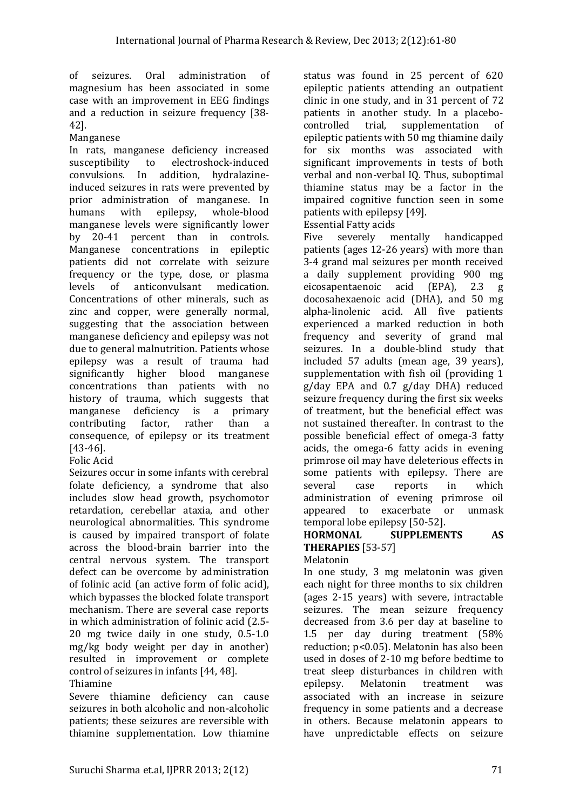of seizures. Oral administration of magnesium has been associated in some case with an improvement in EEG findings and a reduction in seizure frequency [38-42].

## Manganese

In rats, manganese deficiency increased susceptibility to electroshock-induced convulsions. In addition, hydralazineinduced seizures in rats were prevented by prior administration of manganese. In humans with epilepsy, whole-blood manganese levels were significantly lower by 20-41 percent than in controls. Manganese concentrations in epileptic patients did not correlate with seizure frequency or the type, dose, or plasma levels of anticonvulsant medication. Concentrations of other minerals, such as zinc and copper, were generally normal, suggesting that the association between manganese deficiency and epilepsy was not due to general malnutrition. Patients whose epilepsy was a result of trauma had significantly higher blood manganese concentrations than patients with no history of trauma, which suggests that manganese deficiency is a primary contributing factor, rather than a consequence, of epilepsy or its treatment [43-46].

## Folic Acid

Seizures occur in some infants with cerebral folate deficiency, a syndrome that also includes slow head growth, psychomotor retardation, cerebellar ataxia, and other neurological abnormalities. This syndrome is caused by impaired transport of folate across the blood-brain barrier into the central nervous system. The transport defect can be overcome by administration of folinic acid (an active form of folic acid), which bypasses the blocked folate transport mechanism. There are several case reports in which administration of folinic acid (2.5- 20 mg twice daily in one study, 0.5-1.0 mg/kg body weight per day in another) resulted in improvement or complete control of seizures in infants [44, 48].

# Thiamine

Severe thiamine deficiency can cause seizures in both alcoholic and non-alcoholic patients; these seizures are reversible with thiamine supplementation. Low thiamine status was found in 25 percent of 620 epileptic patients attending an outpatient clinic in one study, and in 31 percent of 72 patients in another study. In a placebocontrolled trial, supplementation of epileptic patients with 50 mg thiamine daily for six months was associated with significant improvements in tests of both verbal and non-verbal IQ. Thus, suboptimal thiamine status may be a factor in the impaired cognitive function seen in some patients with epilepsy [49].

#### Essential Fatty acids

Five severely mentally handicapped patients (ages 12-26 years) with more than 3-4 grand mal seizures per month received a daily supplement providing 900 mg eicosapentaenoic acid (EPA), 2.3 g docosahexaenoic acid (DHA), and 50 mg alpha-linolenic acid. All five patients experienced a marked reduction in both frequency and severity of grand mal seizures. In a double-blind study that included 57 adults (mean age, 39 years), supplementation with fish oil (providing 1 g/day EPA and 0.7 g/day DHA) reduced seizure frequency during the first six weeks of treatment, but the beneficial effect was not sustained thereafter. In contrast to the possible beneficial effect of omega-3 fatty acids, the omega-6 fatty acids in evening primrose oil may have deleterious effects in some patients with epilepsy. There are several case reports in which administration of evening primrose oil appeared to exacerbate or unmask temporal lobe epilepsy [50-52].

## **HORMONAL SUPPLEMENTS AS THERAPIES** [53-57]

## Melatonin

In one study, 3 mg melatonin was given each night for three months to six children (ages 2-15 years) with severe, intractable seizures. The mean seizure frequency decreased from 3.6 per day at baseline to 1.5 per day during treatment (58% reduction; p<0.05). Melatonin has also been used in doses of 2-10 mg before bedtime to treat sleep disturbances in children with epilepsy. Melatonin treatment was associated with an increase in seizure frequency in some patients and a decrease in others. Because melatonin appears to have unpredictable effects on seizure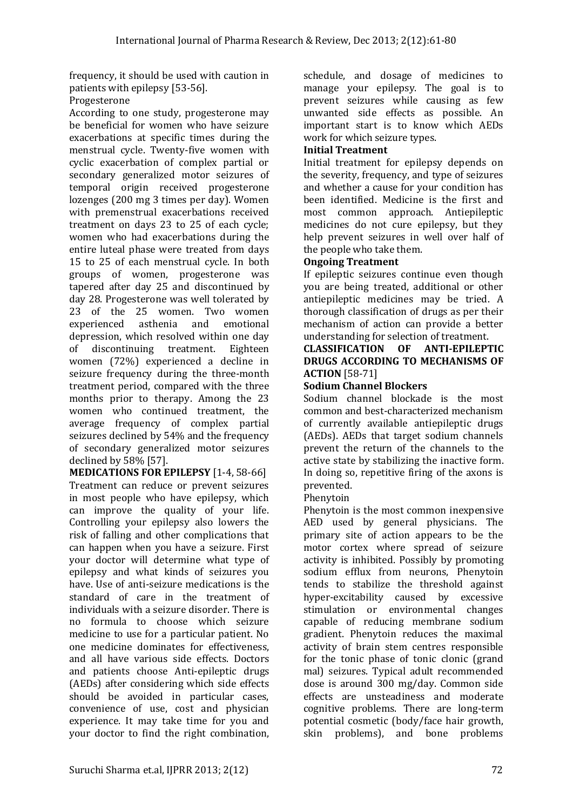frequency, it should be used with caution in patients with epilepsy [53-56].

## Progesterone

According to one study, progesterone may be beneficial for women who have seizure exacerbations at specific times during the menstrual cycle. Twenty-five women with cyclic exacerbation of complex partial or secondary generalized motor seizures of temporal origin received progesterone lozenges (200 mg 3 times per day). Women with premenstrual exacerbations received treatment on days 23 to 25 of each cycle; women who had exacerbations during the entire luteal phase were treated from days 15 to 25 of each menstrual cycle. In both groups of women, progesterone was tapered after day 25 and discontinued by day 28. Progesterone was well tolerated by 23 of the 25 women. Two women experienced asthenia and emotional depression, which resolved within one day of discontinuing treatment. Eighteen women (72%) experienced a decline in seizure frequency during the three-month treatment period, compared with the three months prior to therapy. Among the 23 women who continued treatment, the average frequency of complex partial seizures declined by 54% and the frequency of secondary generalized motor seizures declined by 58% [57].

**MEDICATIONS FOR EPILEPSY** [1-4, 58-66] Treatment can reduce or prevent seizures in most people who have epilepsy, which can improve the quality of your life. Controlling your epilepsy also lowers the risk of falling and other complications that can happen when you have a seizure. First your doctor will determine what type of epilepsy and what kinds of seizures you have. Use of anti-seizure medications is the standard of care in the treatment of individuals with a seizure disorder. There is no formula to choose which seizure medicine to use for a particular patient. No one medicine dominates for effectiveness, and all have various side effects. Doctors and patients choose Anti-epileptic drugs (AEDs) after considering which side effects should be avoided in particular cases, convenience of use, cost and physician experience. It may take time for you and your doctor to find the right combination, schedule, and dosage of medicines to manage your epilepsy. The goal is to prevent seizures while causing as few unwanted side effects as possible. An important start is to know which AEDs work for which seizure types.

## **Initial Treatment**

Initial treatment for epilepsy depends on the severity, frequency, and type of seizures and whether a cause for your condition has been identified. Medicine is the first and most common approach. Antiepileptic medicines do not cure epilepsy, but they help prevent seizures in well over half of the people who take them.

## **Ongoing Treatment**

If epileptic seizures continue even though you are being treated, additional or other antiepileptic medicines may be tried. A thorough classification of drugs as per their mechanism of action can provide a better understanding for selection of treatment.

### **CLASSIFICATION OF ANTI-EPILEPTIC DRUGS ACCORDING TO MECHANISMS OF ACTION** [58-71]

## **Sodium Channel Blockers**

Sodium channel blockade is the most common and best-characterized mechanism of currently available antiepileptic drugs (AEDs). AEDs that target sodium channels prevent the return of the channels to the active state by stabilizing the inactive form. In doing so, repetitive firing of the axons is prevented.

## Phenytoin

Phenytoin is the most common inexpensive AED used by general physicians. The primary site of action appears to be the motor cortex where spread of seizure activity is inhibited. Possibly by promoting sodium efflux from neurons, Phenytoin tends to stabilize the threshold against hyper-excitability caused by excessive stimulation or environmental changes capable of reducing membrane sodium gradient. Phenytoin reduces the maximal activity of brain stem centres responsible for the tonic phase of tonic clonic (grand mal) seizures. Typical adult recommended dose is around 300 mg/day. Common side effects are unsteadiness and moderate cognitive problems. There are long-term potential cosmetic (body/face hair growth, skin problems), and bone problems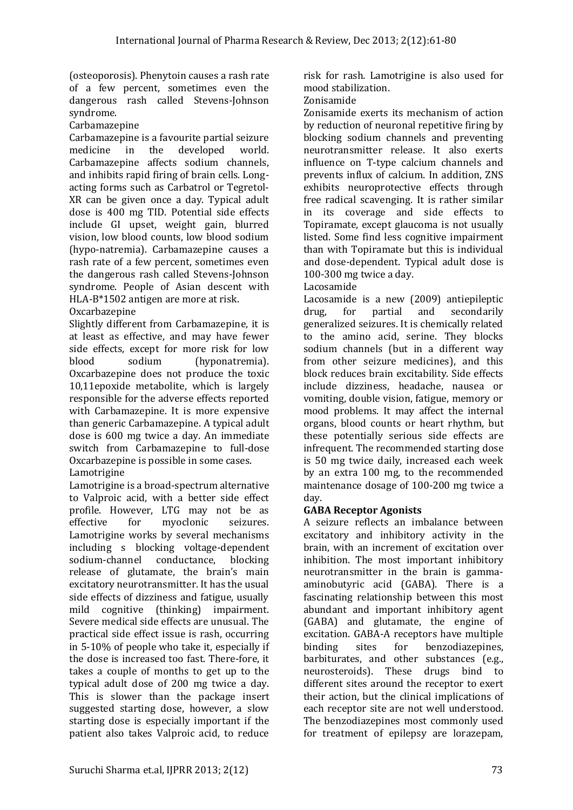(osteoporosis). Phenytoin causes a rash rate of a few percent, sometimes even the dangerous rash called Stevens-Johnson syndrome.

Carbamazepine

Carbamazepine is a favourite partial seizure medicine in the developed world. Carbamazepine affects sodium channels, and inhibits rapid firing of brain cells. Longacting forms such as Carbatrol or Tegretol-XR can be given once a day. Typical adult dose is 400 mg TID. Potential side effects include GI upset, weight gain, blurred vision, low blood counts, low blood sodium (hypo-natremia). Carbamazepine causes a rash rate of a few percent, sometimes even the dangerous rash called Stevens-Johnson syndrome. People of Asian descent with HLA-B\*1502 antigen are more at risk.

# Oxcarbazepine

Slightly different from Carbamazepine, it is at least as effective, and may have fewer side effects, except for more risk for low blood sodium (hyponatremia). Oxcarbazepine does not produce the toxic 10,11epoxide metabolite, which is largely responsible for the adverse effects reported with Carbamazepine. It is more expensive than generic Carbamazepine. A typical adult dose is 600 mg twice a day. An immediate switch from Carbamazepine to full-dose Oxcarbazepine is possible in some cases. Lamotrigine

Lamotrigine is a broad-spectrum alternative to Valproic acid, with a better side effect profile. However, LTG may not be as effective for myoclonic seizures. Lamotrigine works by several mechanisms including s blocking voltage-dependent sodium-channel conductance, blocking release of glutamate, the brain's main excitatory neurotransmitter. It has the usual side effects of dizziness and fatigue, usually mild cognitive (thinking) impairment. Severe medical side effects are unusual. The practical side effect issue is rash, occurring in 5-10% of people who take it, especially if the dose is increased too fast. There-fore, it takes a couple of months to get up to the typical adult dose of 200 mg twice a day. This is slower than the package insert suggested starting dose, however, a slow starting dose is especially important if the patient also takes Valproic acid, to reduce

risk for rash. Lamotrigine is also used for mood stabilization.

## Zonisamide

Zonisamide exerts its mechanism of action by reduction of neuronal repetitive firing by blocking sodium channels and preventing neurotransmitter release. It also exerts influence on T-type calcium channels and prevents influx of calcium. In addition, ZNS exhibits neuroprotective effects through free radical scavenging. It is rather similar in its coverage and side effects to Topiramate, except glaucoma is not usually listed. Some find less cognitive impairment than with Topiramate but this is individual and dose-dependent. Typical adult dose is 100-300 mg twice a day.

# Lacosamide

Lacosamide is a new (2009) antiepileptic drug, for partial and secondarily generalized seizures. It is chemically related to the amino acid, serine. They blocks sodium channels (but in a different way from other seizure medicines), and this block reduces brain excitability. Side effects include dizziness, headache, nausea or vomiting, double vision, fatigue, memory or mood problems. It may affect the internal organs, blood counts or heart rhythm, but these potentially serious side effects are infrequent. The recommended starting dose is 50 mg twice daily, increased each week by an extra 100 mg, to the recommended maintenance dosage of 100-200 mg twice a day.

# **GABA Receptor Agonists**

A seizure reflects an imbalance between excitatory and inhibitory activity in the brain, with an increment of excitation over inhibition. The most important inhibitory neurotransmitter in the brain is gammaaminobutyric acid (GABA). There is a fascinating relationship between this most abundant and important inhibitory agent (GABA) and glutamate, the engine of excitation. GABA-A receptors have multiple binding sites for benzodiazepines, barbiturates, and other substances (e.g., neurosteroids). These drugs bind to different sites around the receptor to exert their action, but the clinical implications of each receptor site are not well understood. The benzodiazepines most commonly used for treatment of epilepsy are lorazepam,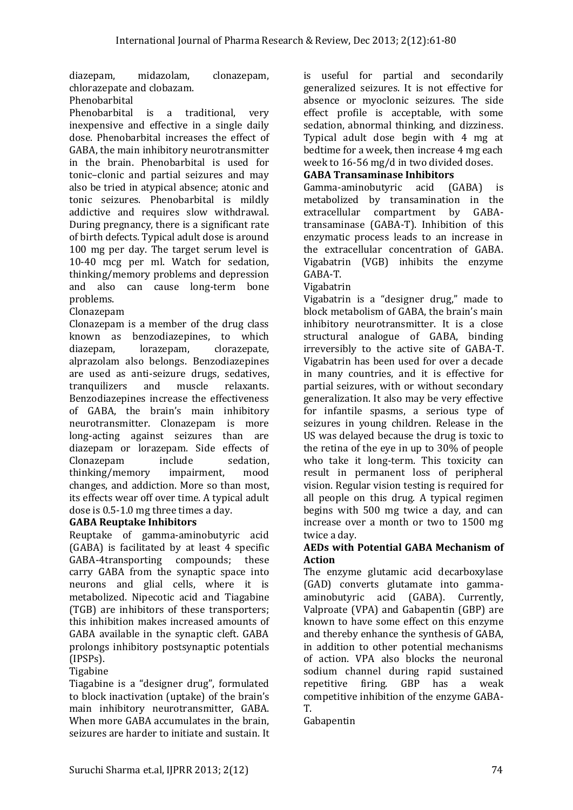diazepam, midazolam, clonazepam, chlorazepate and clobazam.

## Phenobarbital

Phenobarbital is a traditional, very inexpensive and effective in a single daily dose. Phenobarbital increases the effect of GABA, the main inhibitory neurotransmitter in the brain. Phenobarbital is used for tonic–clonic and partial seizures and may also be tried in atypical absence; atonic and tonic seizures. Phenobarbital is mildly addictive and requires slow withdrawal. During pregnancy, there is a significant rate of birth defects. Typical adult dose is around 100 mg per day. The target serum level is 10-40 mcg per ml. Watch for sedation, thinking/memory problems and depression and also can cause long-term bone problems.

## Clonazepam

Clonazepam is a member of the drug class known as benzodiazepines, to which diazepam, lorazepam, clorazepate, alprazolam also belongs. Benzodiazepines are used as anti-seizure drugs, sedatives, tranquilizers and muscle relaxants. Benzodiazepines increase the effectiveness of GABA, the brain's main inhibitory neurotransmitter. Clonazepam is more long-acting against seizures than are diazepam or lorazepam. Side effects of Clonazepam include sedation, thinking/memory impairment, mood changes, and addiction. More so than most, its effects wear off over time. A typical adult dose is 0.5-1.0 mg three times a day.

# **GABA Reuptake Inhibitors**

Reuptake of gamma-aminobutyric acid (GABA) is facilitated by at least 4 specific GABA-4transporting compounds; these carry GABA from the synaptic space into neurons and glial cells, where it is metabolized. Nipecotic acid and Tiagabine (TGB) are inhibitors of these transporters; this inhibition makes increased amounts of GABA available in the synaptic cleft. GABA prolongs inhibitory postsynaptic potentials (IPSPs).

## Tigabine

Tiagabine is a "designer drug", formulated to block inactivation (uptake) of the brain's main inhibitory neurotransmitter, GABA. When more GABA accumulates in the brain, seizures are harder to initiate and sustain. It is useful for partial and secondarily generalized seizures. It is not effective for absence or myoclonic seizures. The side effect profile is acceptable, with some sedation, abnormal thinking, and dizziness. Typical adult dose begin with 4 mg at bedtime for a week, then increase 4 mg each week to 16-56 mg/d in two divided doses.

# **GABA Transaminase Inhibitors**

Gamma-aminobutyric acid (GABA) is metabolized by transamination in the extracellular compartment by GABAtransaminase (GABA-T). Inhibition of this enzymatic process leads to an increase in the extracellular concentration of GABA. Vigabatrin (VGB) inhibits the enzyme GABA-T.

## Vigabatrin

Vigabatrin is a "designer drug," made to block metabolism of GABA, the brain's main inhibitory neurotransmitter. It is a close structural analogue of GABA, binding irreversibly to the active site of GABA-T. Vigabatrin has been used for over a decade in many countries, and it is effective for partial seizures, with or without secondary generalization. It also may be very effective for infantile spasms, a serious type of seizures in young children. Release in the US was delayed because the drug is toxic to the retina of the eye in up to 30% of people who take it long-term. This toxicity can result in permanent loss of peripheral vision. Regular vision testing is required for all people on this drug. A typical regimen begins with 500 mg twice a day, and can increase over a month or two to 1500 mg twice a day.

## **AEDs with Potential GABA Mechanism of Action**

The enzyme glutamic acid decarboxylase (GAD) converts glutamate into gammaaminobutyric acid (GABA). Currently, Valproate (VPA) and Gabapentin (GBP) are known to have some effect on this enzyme and thereby enhance the synthesis of GABA, in addition to other potential mechanisms of action. VPA also blocks the neuronal sodium channel during rapid sustained repetitive firing. GBP has a weak competitive inhibition of the enzyme GABA-T.

Gabapentin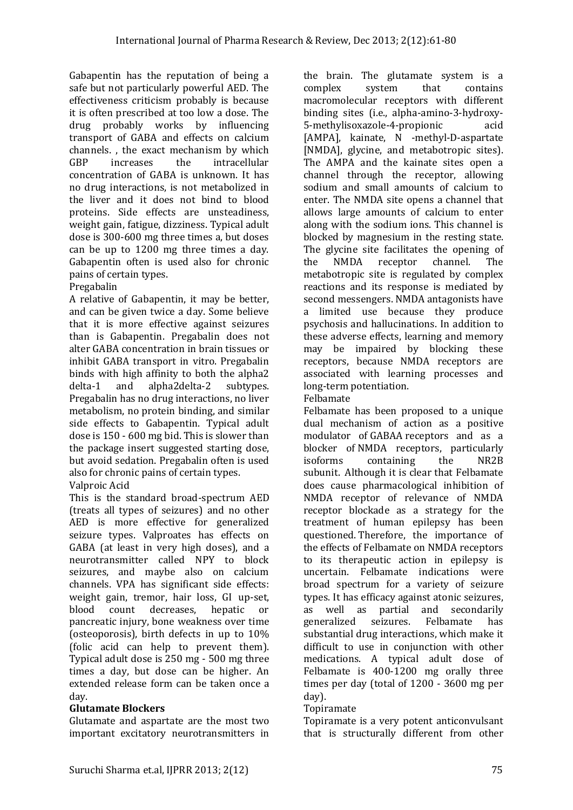Gabapentin has the reputation of being a safe but not particularly powerful AED. The effectiveness criticism probably is because it is often prescribed at too low a dose. The drug probably works by influencing transport of GABA and effects on calcium channels. , the exact mechanism by which GBP increases the intracellular concentration of GABA is unknown. It has no drug interactions, is not metabolized in the liver and it does not bind to blood proteins. Side effects are unsteadiness, weight gain, fatigue, dizziness. Typical adult dose is 300-600 mg three times a, but doses can be up to 1200 mg three times a day. Gabapentin often is used also for chronic pains of certain types.

# Pregabalin

A relative of Gabapentin, it may be better, and can be given twice a day. Some believe that it is more effective against seizures than is Gabapentin. Pregabalin does not alter GABA concentration in brain tissues or inhibit GABA transport in vitro. Pregabalin binds with high affinity to both the alpha2 delta-1 and alpha2delta-2 subtypes. Pregabalin has no drug interactions, no liver metabolism, no protein binding, and similar side effects to Gabapentin. Typical adult dose is 150 - 600 mg bid. This is slower than the package insert suggested starting dose, but avoid sedation. Pregabalin often is used also for chronic pains of certain types.

# Valproic Acid

This is the standard broad-spectrum AED (treats all types of seizures) and no other AED is more effective for generalized seizure types. Valproates has effects on GABA (at least in very high doses), and a neurotransmitter called NPY to block seizures, and maybe also on calcium channels. VPA has significant side effects: weight gain, tremor, hair loss, GI up-set, blood count decreases, hepatic or pancreatic injury, bone weakness over time (osteoporosis), birth defects in up to 10% (folic acid can help to prevent them). Typical adult dose is 250 mg - 500 mg three times a day, but dose can be higher. An extended release form can be taken once a day.

## **Glutamate Blockers**

Glutamate and aspartate are the most two important excitatory neurotransmitters in the brain. The glutamate system is a complex system that contains macromolecular receptors with different binding sites (i.e., alpha-amino-3-hydroxy-5-methylisoxazole-4-propionic acid [AMPA], kainate, N -methyl-D-aspartate [NMDA], glycine, and metabotropic sites). The AMPA and the kainate sites open a channel through the receptor, allowing sodium and small amounts of calcium to enter. The NMDA site opens a channel that allows large amounts of calcium to enter along with the sodium ions. This channel is blocked by magnesium in the resting state. The glycine site facilitates the opening of the NMDA receptor channel. The metabotropic site is regulated by complex reactions and its response is mediated by second messengers. NMDA antagonists have a limited use because they produce psychosis and hallucinations. In addition to these adverse effects, learning and memory may be impaired by blocking these receptors, because NMDA receptors are associated with learning processes and long-term potentiation.

## Felbamate

Felbamate has been proposed to a unique dual mechanism of action as a positive modulator of GABAA [receptors](http://en.wikipedia.org/wiki/GABAA_receptor) and as a blocker of [NMDA receptors,](http://en.wikipedia.org/wiki/NMDA_receptor) particularly isoforms containing the NR2B subunit. Although it is clear that Felbamate does cause pharmacological inhibition of NMDA receptor of relevance of NMDA receptor blockade as a strategy for the treatment of human epilepsy has been questioned. Therefore, the importance of the effects of Felbamate on NMDA receptors to its therapeutic action in epilepsy is uncertain. Felbamate indications were broad spectrum for a variety of seizure types. It has efficacy against atonic seizures, as well as partial and secondarily generalized seizures. Felbamate has substantial drug interactions, which make it difficult to use in conjunction with other medications. A typical adult dose of Felbamate is 400-1200 mg orally three times per day (total of 1200 - 3600 mg per day).

# Topiramate

Topiramate is a very potent anticonvulsant that is structurally different from other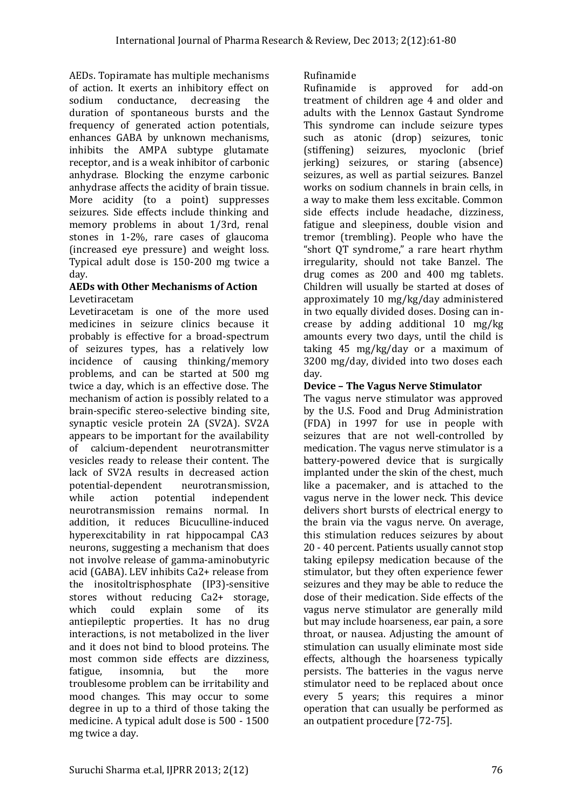AEDs. Topiramate has multiple mechanisms of action. It exerts an inhibitory effect on sodium conductance, decreasing the duration of spontaneous bursts and the frequency of generated action potentials, enhances GABA by unknown mechanisms, inhibits the AMPA subtype glutamate receptor, and is a weak inhibitor of carbonic anhydrase. Blocking the enzyme carbonic anhydrase affects the acidity of brain tissue. More acidity (to a point) suppresses seizures. Side effects include thinking and memory problems in about 1/3rd, renal stones in 1-2%, rare cases of glaucoma (increased eye pressure) and weight loss. Typical adult dose is 150-200 mg twice a day.

### **AEDs with Other Mechanisms of Action** Levetiracetam

Levetiracetam is one of the more used medicines in seizure clinics because it probably is effective for a broad-spectrum of seizures types, has a relatively low incidence of causing thinking/memory problems, and can be started at 500 mg twice a day, which is an effective dose. The mechanism of action is possibly related to a brain-specific stereo-selective binding site, synaptic vesicle protein 2A (SV2A). SV2A appears to be important for the availability of calcium-dependent neurotransmitter vesicles ready to release their content. The lack of SV2A results in decreased action potential-dependent neurotransmission, while action potential independent neurotransmission remains normal. In addition, it reduces Bicuculline-induced hyperexcitability in rat hippocampal CA3 neurons, suggesting a mechanism that does not involve release of gamma-aminobutyric acid (GABA). LEV inhibits Ca2+ release from the inositoltrisphosphate (IP3)-sensitive stores without reducing Ca2+ storage, which could explain some of its antiepileptic properties. It has no drug interactions, is not metabolized in the liver and it does not bind to blood proteins. The most common side effects are dizziness, fatigue, insomnia, but the more troublesome problem can be irritability and mood changes. This may occur to some degree in up to a third of those taking the medicine. A typical adult dose is 500 - 1500 mg twice a day.

# Rufinamide

Rufinamide is approved for add-on treatment of children age 4 and older and adults with the Lennox Gastaut Syndrome This syndrome can include seizure types such as atonic (drop) seizures, tonic (stiffening) seizures, myoclonic (brief jerking) seizures, or staring (absence) seizures, as well as partial seizures. Banzel works on sodium channels in brain cells, in a way to make them less excitable. Common side effects include headache, dizziness, fatigue and sleepiness, double vision and tremor (trembling). People who have the "short QT syndrome," a rare heart rhythm irregularity, should not take Banzel. The drug comes as 200 and 400 mg tablets. Children will usually be started at doses of approximately 10 mg/kg/day administered in two equally divided doses. Dosing can increase by adding additional 10 mg/kg amounts every two days, until the child is taking 45 mg/kg/day or a maximum of 3200 mg/day, divided into two doses each day.

# **Device – The Vagus Nerve Stimulator**

The vagus nerve stimulator was approved by the U.S. Food and Drug Administration (FDA) in 1997 for use in people with seizures that are not well-controlled by medication. The vagus nerve stimulator is a battery-powered device that is surgically implanted under the skin of the chest, much like a pacemaker, and is attached to the vagus nerve in the lower neck. This device delivers short bursts of electrical energy to the brain via the vagus nerve. On average, this stimulation reduces seizures by about 20 - 40 percent. Patients usually cannot stop taking epilepsy medication because of the stimulator, but they often experience fewer seizures and they may be able to reduce the dose of their medication. Side effects of the vagus nerve stimulator are generally mild but may include hoarseness, ear pain, a sore throat, or nausea. Adjusting the amount of stimulation can usually eliminate most side effects, although the hoarseness typically persists. The batteries in the vagus nerve stimulator need to be replaced about once every 5 years; this requires a minor operation that can usually be performed as an outpatient procedure [72-75].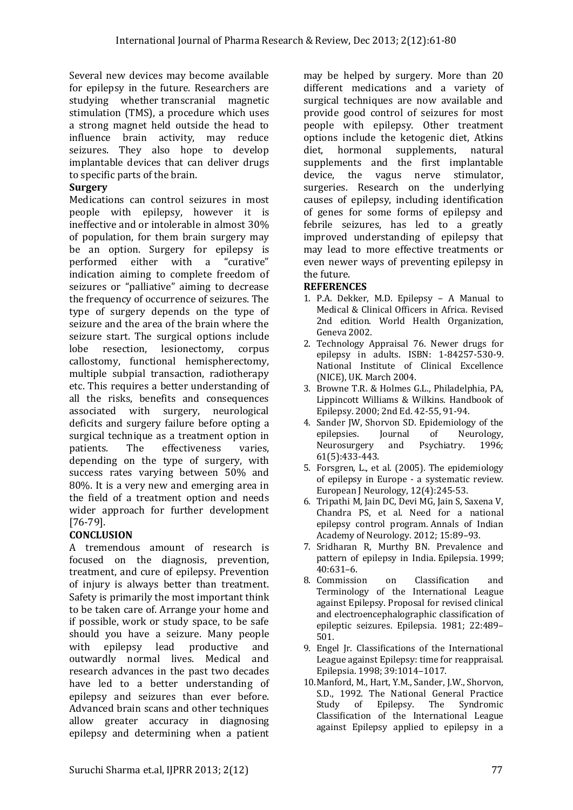Several new devices may become available for epilepsy in the future. Researchers are studying whether transcranial magnetic stimulation (TMS), a procedure which uses a strong magnet held outside the head to influence brain activity, may reduce seizures. They also hope to develop implantable devices that can deliver drugs to specific parts of the brain.

# **Surgery**

Medications can control seizures in most people with epilepsy, however it is ineffective and or intolerable in almost 30% of population, for them brain surgery may be an option. Surgery for epilepsy is performed either with a "curative" indication aiming to complete freedom of seizures or "palliative" aiming to decrease the frequency of occurrence of seizures. The type of surgery depends on the type of seizure and the area of the brain where the seizure start. The surgical options include lobe resection, lesionectomy, corpus callostomy, functional hemispherectomy, multiple subpial transaction, radiotherapy etc. This requires a better understanding of all the risks, benefits and consequences associated with surgery, neurological deficits and surgery failure before opting a surgical technique as a treatment option in patients. The effectiveness varies, depending on the type of surgery, with success rates varying between 50% and 80%. It is a very new and emerging area in the field of a treatment option and needs wider approach for further development [76-79].

# **CONCLUSION**

A tremendous amount of research is focused on the diagnosis, prevention, treatment, and cure of epilepsy. Prevention of injury is always better than treatment. Safety is primarily the most important think to be taken care of. Arrange your home and if possible, work or study space, to be safe should you have a seizure. Many people with epilepsy lead productive and outwardly normal lives. Medical and research advances in the past two decades have led to a better understanding of epilepsy and seizures than ever before. Advanced brain scans and other techniques allow greater accuracy in diagnosing epilepsy and determining when a patient may be helped by surgery. More than 20 different medications and a variety of surgical techniques are now available and provide good control of seizures for most people with epilepsy. Other treatment options include the ketogenic diet, Atkins diet, hormonal supplements, natural supplements and the first implantable device, the vagus nerve stimulator, surgeries. Research on the underlying causes of epilepsy, including identification of genes for some forms of epilepsy and febrile seizures, has led to a greatly improved understanding of epilepsy that may lead to more effective treatments or even newer ways of preventing epilepsy in the future.

## **REFERENCES**

- 1. P.A. Dekker, M.D. Epilepsy A Manual to Medical & Clinical Officers in Africa. Revised 2nd edition. World Health Organization, Geneva 2002.
- 2. Technology Appraisal 76. Newer drugs for epilepsy in adults. ISBN: 1-84257-530-9. National Institute of Clinical Excellence (NICE), UK. March 2004.
- 3. Browne T.R. & Holmes G.L., Philadelphia, PA, Lippincott Williams & Wilkins. Handbook of Epilepsy. 2000; 2nd Ed. 42-55, 91-94.
- 4. Sander JW, Shorvon SD. Epidemiology of the epilepsies. Journal of Neurology, Neurosurgery and Psychiatry. 1996; 61(5):433-443.
- 5. Forsgren, L., et al. (2005). The epidemiology of epilepsy in Europe - a systematic review. European J Neurology, 12(4):245-53.
- 6. Tripathi M, Jain DC, Devi MG, Jain S, Saxena V, Chandra PS, et al. Need for a national epilepsy control program. Annals of Indian Academy of Neurology. 2012; 15:89–93.
- 7. Sridharan R, Murthy BN. Prevalence and pattern of epilepsy in India. Epilepsia. 1999; 40:631–6.
- 8. Commission on Classification and Terminology of the International League against Epilepsy. Proposal for revised clinical and electroencephalographic classification of epileptic seizures. Epilepsia. 1981; 22:489– 501.
- 9. Engel Jr. Classifications of the International League against Epilepsy: time for reappraisal. Epilepsia. 1998; 39:1014–1017.
- 10.Manford, M., Hart, Y.M., Sander, J.W., Shorvon, S.D., 1992. The National General Practice Study of Epilepsy. The Syndromic Classification of the International League against Epilepsy applied to epilepsy in a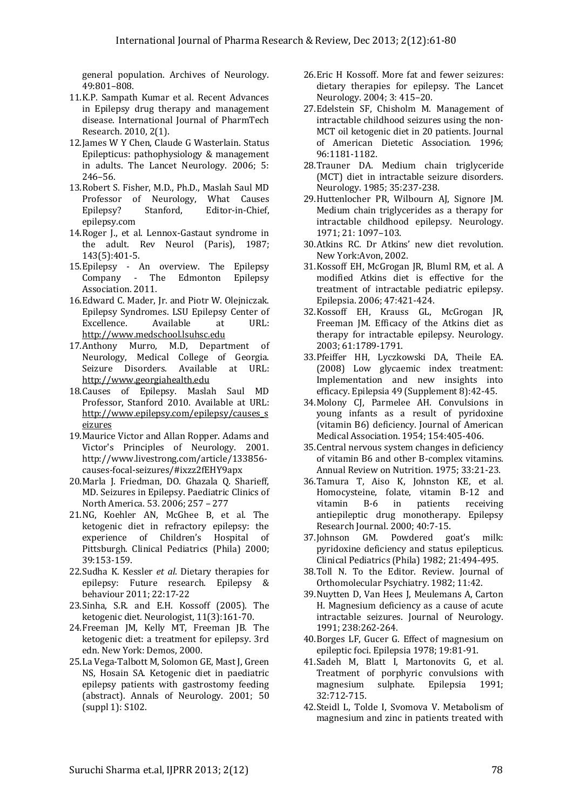general population. Archives of Neurology. 49:801–808.

- 11.K.P. Sampath Kumar et al. Recent Advances in Epilepsy drug therapy and management disease. International Journal of PharmTech Research. 2010, 2(1).
- 12.James W Y Chen, Claude G Wasterlain. Status Epilepticus: pathophysiology & management in adults. The Lancet Neurology. 2006; 5: 246–56.
- 13.Robert S. Fisher, M.D., Ph.D., Maslah Saul MD Professor of Neurology, What Causes Epilepsy? Stanford, Editor‐in‐Chief, epilepsy.com
- 14.Roger J., et al. Lennox-Gastaut syndrome in the adult. Rev Neurol (Paris), 1987; 143(5):401-5.
- 15.Epilepsy An overview. The Epilepsy Company - The Edmonton Epilepsy Association. 2011.
- 16.Edward C. Mader, Jr. and Piotr W. Olejniczak. Epilepsy Syndromes. LSU Epilepsy Center of Excellence. Available at URL: [http://www.medschool.lsuhsc.edu](http://www.medschool.lsuhsc.edu/)
- 17.Anthony Murro, M.D, Department of Neurology, Medical College of Georgia. Seizure Disorders. Available at URL: [http://www.georgiahealth.edu](http://www.georgiahealth.edu/medicine/clerkships/Neurology/documents/Disorders.PDF)
- 18.Causes of Epilepsy. Maslah Saul MD Professor, Stanford 2010. Available at URL: http://www.epilepsy.com/epilepsy/causes\_s eizures
- 19.Maurice Victor and Allan Ropper. Adams and Victor's Principles of Neurology. 2001. http://www.livestrong.com/article/133856 causes-focal-seizures/#ixzz2fEHY9apx
- 20.Marla J. Friedman, DO. Ghazala Q. Sharieff, MD. Seizures in Epilepsy. Paediatric Clinics of North America. 53. 2006; 257 – 277
- 21.NG, Koehler AN, McGhee B, et al. The ketogenic diet in refractory epilepsy: the experience of Children's Hospital of Pittsburgh. Clinical Pediatrics (Phila) 2000; 39:153-159.
- 22.Sudha K. Kessler *et al*. Dietary therapies for epilepsy: Future research. Epilepsy & behaviour 2011; 22:17-22
- 23.Sinha, S.R. and E.H. Kossoff (2005). The ketogenic diet. Neurologist, 11(3):161-70.
- 24.Freeman JM, Kelly MT, Freeman JB. The ketogenic diet: a treatment for epilepsy. 3rd edn. New York: Demos, 2000.
- 25.La Vega-Talbott M, Solomon GE, Mast J, Green NS, Hosain SA. Ketogenic diet in paediatric epilepsy patients with gastrostomy feeding (abstract). Annals of Neurology. 2001; 50 (suppl 1): S102.
- 26.Eric H Kossoff. More fat and fewer seizures: dietary therapies for epilepsy. The Lancet Neurology. 2004; 3: 415–20.
- 27.Edelstein SF, Chisholm M. Management of intractable childhood seizures using the non-MCT oil ketogenic diet in 20 patients. Journal of American Dietetic Association. 1996; 96:1181-1182.
- 28.Trauner DA. Medium chain triglyceride (MCT) diet in intractable seizure disorders. Neurology. 1985; 35:237-238.
- 29.Huttenlocher PR, Wilbourn AJ, Signore JM. Medium chain triglycerides as a therapy for intractable childhood epilepsy. Neurology. 1971; 21: 1097–103.
- 30.Atkins RC. Dr Atkins' new diet revolution. New York:Avon, 2002.
- 31.Kossoff EH, McGrogan JR, Bluml RM, et al. A modified Atkins diet is effective for the treatment of intractable pediatric epilepsy. Epilepsia. 2006; 47:421-424.
- 32.Kossoff EH, Krauss GL, McGrogan JR, Freeman JM. Efficacy of the Atkins diet as therapy for intractable epilepsy. Neurology. 2003; 61:1789-1791.
- 33.Pfeiffer HH, Lyczkowski DA, Theile EA. (2008) Low glycaemic index treatment: Implementation and new insights into efficacy. Epilepsia 49 (Supplement 8):42-45.
- 34.Molony CJ, Parmelee AH. Convulsions in young infants as a result of pyridoxine (vitamin B6) deficiency. Journal of American Medical Association. 1954; 154:405-406.
- 35.Central nervous system changes in deficiency of vitamin B6 and other B-complex vitamins. Annual Review on Nutrition. 1975; 33:21-23.
- 36.Tamura T, Aiso K, Johnston KE, et al. Homocysteine, folate, vitamin B-12 and vitamin B-6 in patients receiving antiepileptic drug monotherapy. Epilepsy Research Journal. 2000; 40:7-15.
- 37.Johnson GM. Powdered goat's milk: pyridoxine deficiency and status epilepticus. Clinical Pediatrics (Phila) 1982; 21:494-495.
- 38.Toll N. To the Editor. Review. Journal of Orthomolecular Psychiatry. 1982; 11:42.
- 39.Nuytten D, Van Hees J, Meulemans A, Carton H. Magnesium deficiency as a cause of acute intractable seizures. Journal of Neurology. 1991; 238:262-264.
- 40.Borges LF, Gucer G. Effect of magnesium on epileptic foci. Epilepsia 1978; 19:81-91.
- 41.Sadeh M, Blatt I, Martonovits G, et al. Treatment of porphyric convulsions with magnesium sulphate. Epilepsia 1991; 32:712-715.
- 42.Steidl L, Tolde I, Svomova V. Metabolism of magnesium and zinc in patients treated with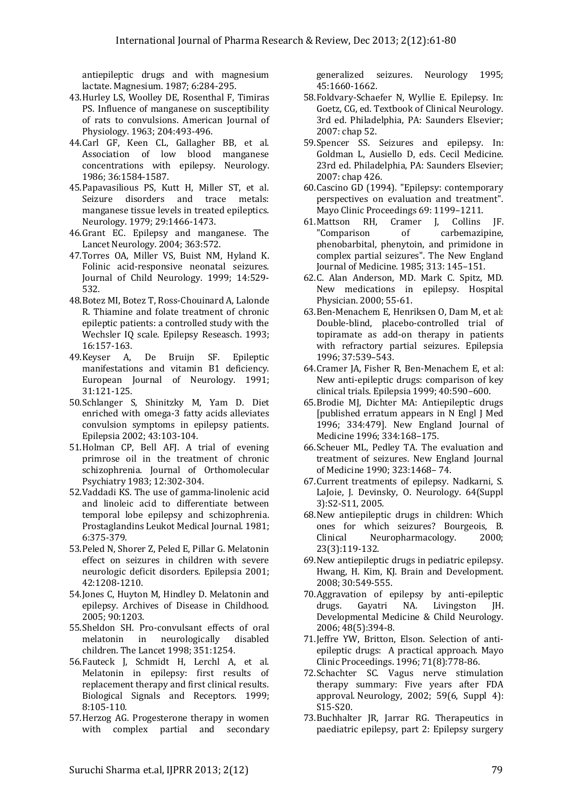antiepileptic drugs and with magnesium lactate. Magnesium. 1987; 6:284-295.

- 43.Hurley LS, Woolley DE, Rosenthal F, Timiras PS. Influence of manganese on susceptibility of rats to convulsions. American Journal of Physiology. 1963; 204:493-496.
- 44.Carl GF, Keen CL, Gallagher BB, et al. Association of low blood manganese concentrations with epilepsy. Neurology. 1986; 36:1584-1587.
- 45.Papavasilious PS, Kutt H, Miller ST, et al. Seizure disorders and trace metals: manganese tissue levels in treated epileptics. Neurology. 1979; 29:1466-1473.
- 46.Grant EC. Epilepsy and manganese. The Lancet Neurology. 2004; 363:572.
- 47.Torres OA, Miller VS, Buist NM, Hyland K. Folinic acid-responsive neonatal seizures. Journal of Child Neurology. 1999; 14:529- 532.
- 48.Botez MI, Botez T, Ross-Chouinard A, Lalonde R. Thiamine and folate treatment of chronic epileptic patients: a controlled study with the Wechsler IQ scale. Epilepsy Reseasch. 1993; 16:157-163.
- 49.Keyser A, De Bruijn SF. Epileptic manifestations and vitamin B1 deficiency. European Journal of Neurology. 1991; 31:121-125.
- 50.Schlanger S, Shinitzky M, Yam D. Diet enriched with omega-3 fatty acids alleviates convulsion symptoms in epilepsy patients. Epilepsia 2002; 43:103-104.
- 51.Holman CP, Bell AFJ. A trial of evening primrose oil in the treatment of chronic schizophrenia. Journal of Orthomolecular Psychiatry 1983; 12:302-304.
- 52.Vaddadi KS. The use of gamma-linolenic acid and linoleic acid to differentiate between temporal lobe epilepsy and schizophrenia. Prostaglandins Leukot Medical Journal. 1981; 6:375-379.
- 53.Peled N, Shorer Z, Peled E, Pillar G. Melatonin effect on seizures in children with severe neurologic deficit disorders. Epilepsia 2001; 42:1208-1210.
- 54.Jones C, Huyton M, Hindley D. Melatonin and epilepsy. Archives of Disease in Childhood. 2005; 90:1203.
- 55.Sheldon SH. Pro-convulsant effects of oral melatonin in neurologically disabled children. The Lancet 1998; 351:1254.
- 56.Fauteck J, Schmidt H, Lerchl A, et al. Melatonin in epilepsy: first results of replacement therapy and first clinical results. Biological Signals and Receptors. 1999; 8:105-110.
- 57.Herzog AG. Progesterone therapy in women with complex partial and secondary

generalized seizures. Neurology 1995; 45:1660-1662.

- 58.Foldvary-Schaefer N, Wyllie E. Epilepsy. In: Goetz, CG, ed. Textbook of Clinical Neurology. 3rd ed. Philadelphia, PA: Saunders Elsevier; 2007: chap 52.
- 59.Spencer SS. Seizures and epilepsy. In: Goldman L, Ausiello D, eds. Cecil Medicine. 23rd ed. Philadelphia, PA: Saunders Elsevier; 2007: chap 426.
- 60.Cascino GD (1994). "Epilepsy: contemporary perspectives on evaluation and treatment". Mayo Clinic Proceedings 69: 1199–1211.
- 61.Mattson RH, Cramer J, Collins JF. "Comparison of carbemazipine, phenobarbital, phenytoin, and primidone in complex partial seizures". The New England Journal of Medicine. 1985; 313: 145–151.
- 62.C. Alan Anderson, MD. Mark C. Spitz, MD. New medications in epilepsy. Hospital Physician. 2000; 55-61.
- 63.Ben-Menachem E, Henriksen O, Dam M, et al: Double-blind, placebo-controlled trial of topiramate as add-on therapy in patients with refractory partial seizures. Epilepsia 1996; 37:539–543.
- 64.Cramer JA, Fisher R, Ben-Menachem E, et al: New anti-epileptic drugs: comparison of key clinical trials. Epilepsia 1999; 40:590–600.
- 65.Brodie MJ, Dichter MA: Antiepileptic drugs [published erratum appears in N Engl J Med 1996; 334:479]. New England Journal of Medicine 1996; 334:168–175.
- 66.Scheuer ML, Pedley TA. The evaluation and treatment of seizures. New England Journal of Medicine 1990; 323:1468– 74.
- 67.Current treatments of epilepsy. Nadkarni, S. LaJoie, J. Devinsky, O. Neurology. 64(Suppl 3):S2-S11, 2005.
- 68.New antiepileptic drugs in children: Which ones for which seizures? Bourgeois, B. Clinical Neuropharmacology. 2000; 23(3):119-132.
- 69.New antiepileptic drugs in pediatric epilepsy. Hwang, H. Kim, KJ. Brain and Development. 2008; 30:549-555.
- 70.Aggravation of epilepsy by anti-epileptic drugs. Gayatri NA. Livingston JH. Developmental Medicine & Child Neurology. 2006; 48(5):394-8.
- 71.Jeffre YW, Britton, Elson. Selection of antiepileptic drugs: A practical approach. Mayo Clinic Proceedings. 1996; 71(8):778-86.
- 72.Schachter SC. Vagus nerve stimulation therapy summary: Five years after FDA approval. Neurology, 2002; 59(6, Suppl 4): S15-S20.
- 73.Buchhalter JR, Jarrar RG. Therapeutics in paediatric epilepsy, part 2: Epilepsy surgery